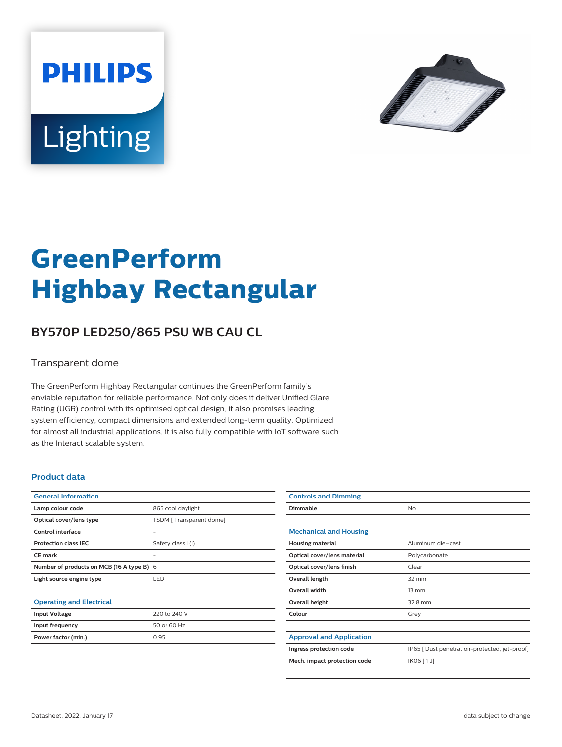



# **GreenPerform Highbay Rectangular**

## **BY570P LED250/865 PSU WB CAU CL**

#### Transparent dome

The GreenPerform Highbay Rectangular continues the GreenPerform family's enviable reputation for reliable performance. Not only does it deliver Unified Glare Rating (UGR) control with its optimised optical design, it also promises leading system efficiency, compact dimensions and extended long-term quality. Optimized for almost all industrial applications, it is also fully compatible with IoT software such as the Interact scalable system.

#### **Product data**

| <b>General Information</b>                |                         |
|-------------------------------------------|-------------------------|
| Lamp colour code                          | 865 cool daylight       |
| Optical cover/lens type                   | TSDM [Transparent dome] |
| Control interface                         |                         |
| <b>Protection class IEC</b>               | Safety class I (I)      |
| <b>CE</b> mark                            |                         |
| Number of products on MCB (16 A type B) 6 |                         |
| Light source engine type                  | LED                     |
|                                           |                         |
| <b>Operating and Electrical</b>           |                         |
| <b>Input Voltage</b>                      | 220 to 240 V            |
| Input frequency                           | 50 or 60 Hz             |
| Power factor (min.)                       | 0.95                    |
|                                           |                         |

| <b>Controls and Dimming</b>     |                                               |
|---------------------------------|-----------------------------------------------|
| Dimmable                        | No                                            |
|                                 |                                               |
| <b>Mechanical and Housing</b>   |                                               |
| <b>Housing material</b>         | Aluminum die-cast                             |
| Optical cover/lens material     | Polycarbonate                                 |
| Optical cover/lens finish       | Clear                                         |
| Overall length                  | $32 \text{ mm}$                               |
| <b>Overall width</b>            | $13 \, \text{mm}$                             |
| Overall height                  | 32.8 mm                                       |
| Colour                          | Grey                                          |
|                                 |                                               |
| <b>Approval and Application</b> |                                               |
| Ingress protection code         | IP65 [ Dust penetration-protected, jet-proof] |
| Mech. impact protection code    | IK06 [1J]                                     |
|                                 |                                               |